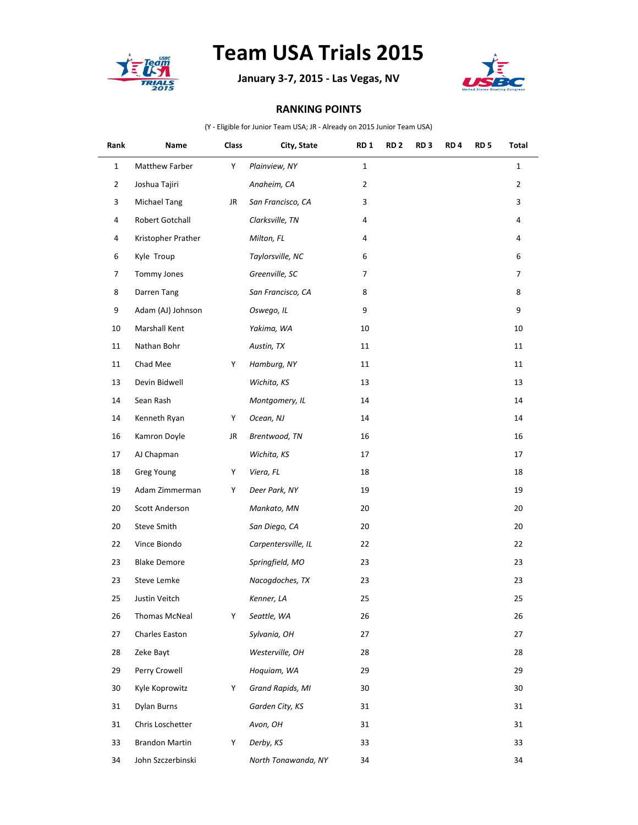

## **Team USA Trials 2015**

**January 3-7, 2015 - Las Vegas, NV**



## **RANKING POINTS**

(Y - Eligible for Junior Team USA; JR - Already on 2015 Junior Team USA)

| Rank           | Name                  | Class | City, State         | RD 1           | RD <sub>2</sub> | RD 3 | RD <sub>4</sub> | RD <sub>5</sub> | Total          |
|----------------|-----------------------|-------|---------------------|----------------|-----------------|------|-----------------|-----------------|----------------|
| $\mathbf{1}$   | Matthew Farber        | Υ     | Plainview, NY       | $1\,$          |                 |      |                 |                 | $\mathbf{1}$   |
| $\overline{2}$ | Joshua Tajiri         |       | Anaheim, CA         | $\overline{2}$ |                 |      |                 |                 | $\overline{2}$ |
| 3              | Michael Tang          | JR    | San Francisco, CA   | 3              |                 |      |                 |                 | $\mathbf{3}$   |
| 4              | Robert Gotchall       |       | Clarksville, TN     | 4              |                 |      |                 |                 | 4              |
| 4              | Kristopher Prather    |       | Milton, FL          | 4              |                 |      |                 |                 | 4              |
| 6              | Kyle Troup            |       | Taylorsville, NC    | 6              |                 |      |                 |                 | 6              |
| 7              | Tommy Jones           |       | Greenville, SC      | 7              |                 |      |                 |                 | 7              |
| 8              | Darren Tang           |       | San Francisco, CA   | 8              |                 |      |                 |                 | 8              |
| 9              | Adam (AJ) Johnson     |       | Oswego, IL          | 9              |                 |      |                 |                 | 9              |
| 10             | Marshall Kent         |       | Yakima, WA          | 10             |                 |      |                 |                 | 10             |
| 11             | Nathan Bohr           |       | Austin, TX          | 11             |                 |      |                 |                 | 11             |
| 11             | Chad Mee              | Y     | Hamburg, NY         | 11             |                 |      |                 |                 | 11             |
| 13             | Devin Bidwell         |       | Wichita, KS         | 13             |                 |      |                 |                 | 13             |
| 14             | Sean Rash             |       | Montgomery, IL      | 14             |                 |      |                 |                 | 14             |
| 14             | Kenneth Ryan          | Y     | Ocean, NJ           | 14             |                 |      |                 |                 | 14             |
| 16             | Kamron Doyle          | JR    | Brentwood, TN       | 16             |                 |      |                 |                 | 16             |
| 17             | AJ Chapman            |       | Wichita, KS         | 17             |                 |      |                 |                 | 17             |
| 18             | Greg Young            | Y     | Viera, FL           | 18             |                 |      |                 |                 | 18             |
| 19             | Adam Zimmerman        | Y     | Deer Park, NY       | 19             |                 |      |                 |                 | 19             |
| 20             | Scott Anderson        |       | Mankato, MN         | 20             |                 |      |                 |                 | 20             |
| 20             | Steve Smith           |       | San Diego, CA       | 20             |                 |      |                 |                 | 20             |
| 22             | Vince Biondo          |       | Carpentersville, IL | 22             |                 |      |                 |                 | 22             |
| 23             | <b>Blake Demore</b>   |       | Springfield, MO     | 23             |                 |      |                 |                 | 23             |
| 23             | Steve Lemke           |       | Nacogdoches, TX     | 23             |                 |      |                 |                 | 23             |
| 25             | Justin Veitch         |       | Kenner, LA          | 25             |                 |      |                 |                 | 25             |
| 26             | Thomas McNeal         | Υ     | Seattle, WA         | 26             |                 |      |                 |                 | 26             |
| 27             | Charles Easton        |       | Sylvania, OH        | 27             |                 |      |                 |                 | 27             |
| 28             | Zeke Bayt             |       | Westerville, OH     | 28             |                 |      |                 |                 | 28             |
| 29             | Perry Crowell         |       | Hoquiam, WA         | 29             |                 |      |                 |                 | 29             |
| 30             | Kyle Koprowitz        | Y     | Grand Rapids, MI    | 30             |                 |      |                 |                 | 30             |
| 31             | Dylan Burns           |       | Garden City, KS     | 31             |                 |      |                 |                 | 31             |
| 31             | Chris Loschetter      |       | Avon, OH            | 31             |                 |      |                 |                 | 31             |
| 33             | <b>Brandon Martin</b> | Y     | Derby, KS           | 33             |                 |      |                 |                 | 33             |
| 34             | John Szczerbinski     |       | North Tonawanda, NY | 34             |                 |      |                 |                 | 34             |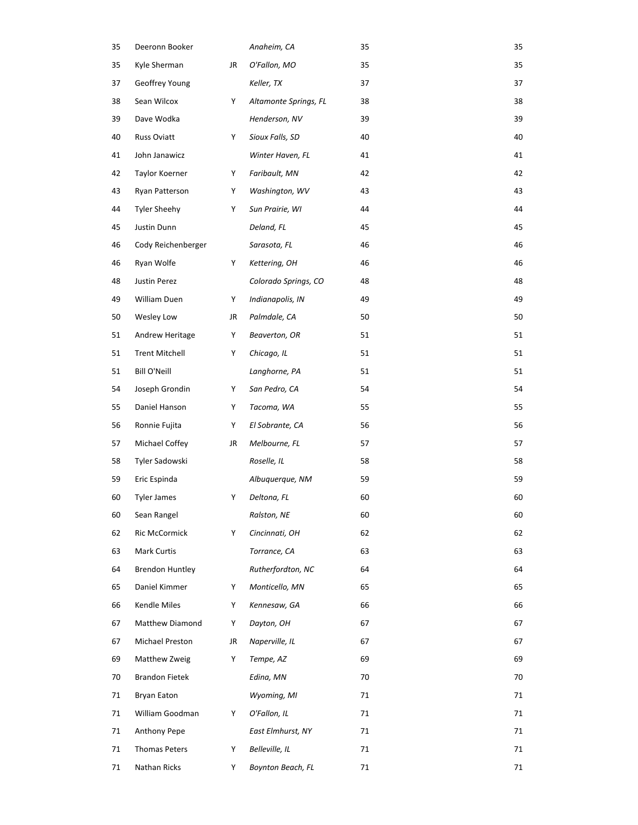| 35 | Deeronn Booker         |    | Anaheim, CA           | 35 | 35 |
|----|------------------------|----|-----------------------|----|----|
| 35 | Kyle Sherman           | JR | O'Fallon, MO          | 35 | 35 |
| 37 | Geoffrey Young         |    | Keller, TX            | 37 | 37 |
| 38 | Sean Wilcox            | Υ  | Altamonte Springs, FL | 38 | 38 |
| 39 | Dave Wodka             |    | Henderson, NV         | 39 | 39 |
| 40 | Russ Oviatt            | Υ  | Sioux Falls, SD       | 40 | 40 |
| 41 | John Janawicz          |    | Winter Haven, FL      | 41 | 41 |
| 42 | Taylor Koerner         | Υ  | Faribault, MN         | 42 | 42 |
| 43 | Ryan Patterson         | Y  | Washington, WV        | 43 | 43 |
| 44 | <b>Tyler Sheehy</b>    | Υ  | Sun Prairie, WI       | 44 | 44 |
| 45 | Justin Dunn            |    | Deland, FL            | 45 | 45 |
| 46 | Cody Reichenberger     |    | Sarasota, FL          | 46 | 46 |
| 46 | Ryan Wolfe             | Υ  | Kettering, OH         | 46 | 46 |
| 48 | Justin Perez           |    | Colorado Springs, CO  | 48 | 48 |
| 49 | William Duen           | Υ  | Indianapolis, IN      | 49 | 49 |
| 50 | Wesley Low             | JR | Palmdale, CA          | 50 | 50 |
| 51 | Andrew Heritage        | Y  | Beaverton, OR         | 51 | 51 |
| 51 | <b>Trent Mitchell</b>  | Υ  | Chicago, IL           | 51 | 51 |
| 51 | Bill O'Neill           |    | Langhorne, PA         | 51 | 51 |
| 54 | Joseph Grondin         | Y  | San Pedro, CA         | 54 | 54 |
| 55 | Daniel Hanson          | Y  | Tacoma, WA            | 55 | 55 |
| 56 | Ronnie Fujita          | Υ  | El Sobrante, CA       | 56 | 56 |
| 57 | Michael Coffey         | JR | Melbourne, FL         | 57 | 57 |
| 58 | Tyler Sadowski         |    | Roselle, IL           | 58 | 58 |
| 59 | Eric Espinda           |    | Albuquerque, NM       | 59 | 59 |
| 60 | <b>Tyler James</b>     | Υ  | Deltona, FL           | 60 | 60 |
| 60 | Sean Rangel            |    | Ralston, NE           | 60 | 60 |
| 62 | Ric McCormick          | Υ  | Cincinnati, OH        | 62 | 62 |
| 63 | Mark Curtis            |    | Torrance, CA          | 63 | 63 |
| 64 | <b>Brendon Huntley</b> |    | Rutherfordton, NC     | 64 | 64 |
| 65 | Daniel Kimmer          | Υ  | Monticello, MN        | 65 | 65 |
| 66 | Kendle Miles           | Υ  | Kennesaw, GA          | 66 | 66 |
| 67 | Matthew Diamond        | Υ  | Dayton, OH            | 67 | 67 |
| 67 | Michael Preston        | JR | Naperville, IL        | 67 | 67 |
| 69 | Matthew Zweig          | Υ  | Tempe, AZ             | 69 | 69 |
| 70 | <b>Brandon Fietek</b>  |    | Edina, MN             | 70 | 70 |
| 71 | <b>Bryan Eaton</b>     |    | Wyoming, MI           | 71 | 71 |
| 71 | William Goodman        | Υ  | O'Fallon, IL          | 71 | 71 |
| 71 | Anthony Pepe           |    | East Elmhurst, NY     | 71 | 71 |
| 71 | Thomas Peters          | Υ  | Belleville, IL        | 71 | 71 |
| 71 | Nathan Ricks           | Y  | Boynton Beach, FL     | 71 | 71 |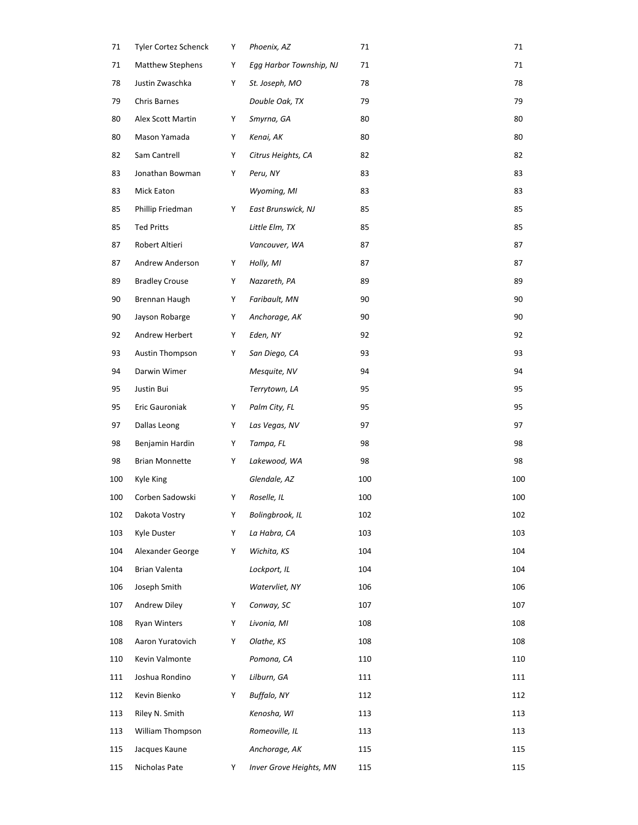| 71  | Tyler Cortez Schenck    | Y | Phoenix, AZ             | 71  | 71  |
|-----|-------------------------|---|-------------------------|-----|-----|
| 71  | <b>Matthew Stephens</b> | Y | Egg Harbor Township, NJ | 71  | 71  |
| 78  | Justin Zwaschka         | Y | St. Joseph, MO          | 78  | 78  |
| 79  | Chris Barnes            |   | Double Oak, TX          | 79  | 79  |
| 80  | Alex Scott Martin       | Y | Smyrna, GA              | 80  | 80  |
| 80  | Mason Yamada            | Y | Kenai, AK               | 80  | 80  |
| 82  | Sam Cantrell            | Y | Citrus Heights, CA      | 82  | 82  |
| 83  | Jonathan Bowman         | Y | Peru, NY                | 83  | 83  |
| 83  | Mick Eaton              |   | Wyoming, MI             | 83  | 83  |
| 85  | Phillip Friedman        | Y | East Brunswick, NJ      | 85  | 85  |
| 85  | <b>Ted Pritts</b>       |   | Little Elm, TX          | 85  | 85  |
| 87  | Robert Altieri          |   | Vancouver, WA           | 87  | 87  |
| 87  | Andrew Anderson         | Y | Holly, MI               | 87  | 87  |
| 89  | <b>Bradley Crouse</b>   | Y | Nazareth, PA            | 89  | 89  |
| 90  | Brennan Haugh           | Y | Faribault, MN           | 90  | 90  |
| 90  | Jayson Robarge          | Y | Anchorage, AK           | 90  | 90  |
| 92  | Andrew Herbert          | Y | Eden, NY                | 92  | 92  |
| 93  | Austin Thompson         | Y | San Diego, CA           | 93  | 93  |
| 94  | Darwin Wimer            |   | Mesquite, NV            | 94  | 94  |
| 95  | Justin Bui              |   | Terrytown, LA           | 95  | 95  |
| 95  | Eric Gauroniak          | Υ | Palm City, FL           | 95  | 95  |
| 97  | Dallas Leong            | Y | Las Vegas, NV           | 97  | 97  |
| 98  | Benjamin Hardin         | Y | Tampa, FL               | 98  | 98  |
| 98  | <b>Brian Monnette</b>   | Y | Lakewood, WA            | 98  | 98  |
| 100 | Kyle King               |   | Glendale, AZ            | 100 | 100 |
| 100 | Corben Sadowski         | Y | Roselle, IL             | 100 | 100 |
| 102 | Dakota Vostry           | Y | Bolingbrook, IL         | 102 | 102 |
| 103 | Kyle Duster             | Y | La Habra, CA            | 103 | 103 |
| 104 | Alexander George        | Y | Wichita, KS             | 104 | 104 |
| 104 | <b>Brian Valenta</b>    |   | Lockport, IL            | 104 | 104 |
| 106 | Joseph Smith            |   | Watervliet, NY          | 106 | 106 |
| 107 | Andrew Diley            | Y | Conway, SC              | 107 | 107 |
| 108 | <b>Ryan Winters</b>     | Y | Livonia, MI             | 108 | 108 |
| 108 | Aaron Yuratovich        | Y | Olathe, KS              | 108 | 108 |
| 110 | Kevin Valmonte          |   | Pomona, CA              | 110 | 110 |
| 111 | Joshua Rondino          | Υ | Lilburn, GA             | 111 | 111 |
| 112 | Kevin Bienko            | Y | Buffalo, NY             | 112 | 112 |
| 113 | Riley N. Smith          |   | Kenosha, WI             | 113 | 113 |
| 113 | William Thompson        |   | Romeoville, IL          | 113 | 113 |
| 115 | Jacques Kaune           |   | Anchorage, AK           | 115 | 115 |
| 115 | Nicholas Pate           | Y | Inver Grove Heights, MN | 115 | 115 |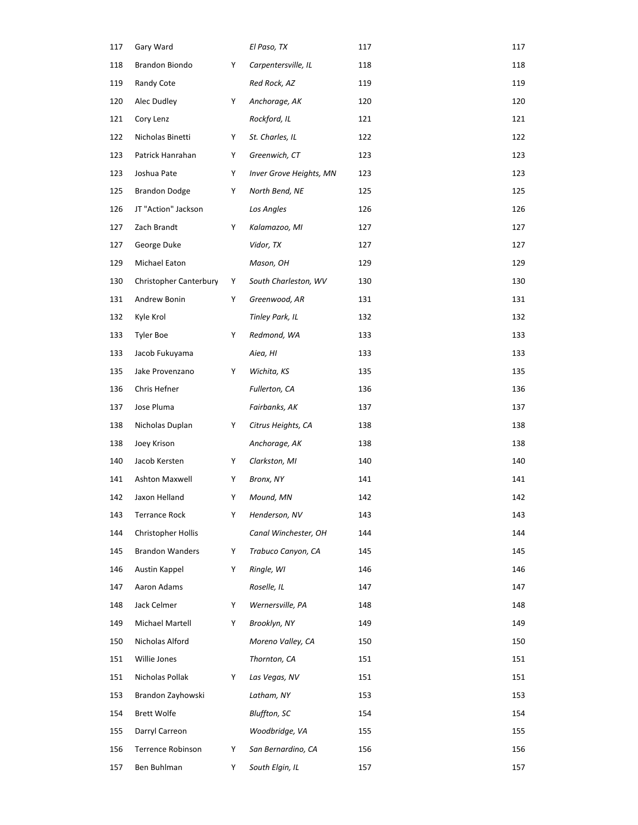| 117 | Gary Ward                     |   | El Paso, TX             | 117 | 117 |
|-----|-------------------------------|---|-------------------------|-----|-----|
| 118 | Brandon Biondo                | Y | Carpentersville, IL     | 118 | 118 |
| 119 | Randy Cote                    |   | Red Rock, AZ            | 119 | 119 |
| 120 | Alec Dudley                   | Y | Anchorage, AK           | 120 | 120 |
| 121 | Cory Lenz                     |   | Rockford, IL            | 121 | 121 |
| 122 | Nicholas Binetti              | Y | St. Charles, IL         | 122 | 122 |
| 123 | Patrick Hanrahan              | Y | Greenwich, CT           | 123 | 123 |
| 123 | Joshua Pate                   | Y | Inver Grove Heights, MN | 123 | 123 |
| 125 | <b>Brandon Dodge</b>          | Y | North Bend, NE          | 125 | 125 |
| 126 | JT "Action" Jackson           |   | Los Angles              | 126 | 126 |
| 127 | Zach Brandt                   | Y | Kalamazoo, MI           | 127 | 127 |
| 127 | George Duke                   |   | Vidor, TX               | 127 | 127 |
| 129 | Michael Eaton                 |   | Mason, OH               | 129 | 129 |
| 130 | <b>Christopher Canterbury</b> | Y | South Charleston, WV    | 130 | 130 |
| 131 | Andrew Bonin                  | Y | Greenwood, AR           | 131 | 131 |
| 132 | Kyle Krol                     |   | Tinley Park, IL         | 132 | 132 |
| 133 | Tyler Boe                     | Y | Redmond, WA             | 133 | 133 |
| 133 | Jacob Fukuyama                |   | Aiea, HI                | 133 | 133 |
| 135 | Jake Provenzano               | Υ | Wichita, KS             | 135 | 135 |
| 136 | Chris Hefner                  |   | Fullerton, CA           | 136 | 136 |
| 137 | Jose Pluma                    |   | Fairbanks, AK           | 137 | 137 |
| 138 | Nicholas Duplan               | Y | Citrus Heights, CA      | 138 | 138 |
| 138 | Joey Krison                   |   | Anchorage, AK           | 138 | 138 |
| 140 | Jacob Kersten                 | Y | Clarkston, MI           | 140 | 140 |
| 141 | <b>Ashton Maxwell</b>         | Y | Bronx, NY               | 141 | 141 |
| 142 | Jaxon Helland                 | Y | Mound, MN               | 142 | 142 |
| 143 | <b>Terrance Rock</b>          | Y | Henderson, NV           | 143 | 143 |
| 144 | Christopher Hollis            |   | Canal Winchester, OH    | 144 | 144 |
| 145 | <b>Brandon Wanders</b>        | Υ | Trabuco Canyon, CA      | 145 | 145 |
| 146 | Austin Kappel                 | Y | Ringle, WI              | 146 | 146 |
| 147 | Aaron Adams                   |   | Roselle, IL             | 147 | 147 |
| 148 | Jack Celmer                   | Y | Wernersville, PA        | 148 | 148 |
| 149 | Michael Martell               | Y | Brooklyn, NY            | 149 | 149 |
| 150 | Nicholas Alford               |   | Moreno Valley, CA       | 150 | 150 |
| 151 | Willie Jones                  |   | Thornton, CA            | 151 | 151 |
| 151 | Nicholas Pollak               | Υ | Las Vegas, NV           | 151 | 151 |
| 153 | Brandon Zayhowski             |   | Latham, NY              | 153 | 153 |
| 154 | <b>Brett Wolfe</b>            |   | <b>Bluffton, SC</b>     | 154 | 154 |
| 155 | Darryl Carreon                |   | Woodbridge, VA          | 155 | 155 |
| 156 | Terrence Robinson             | Y | San Bernardino, CA      | 156 | 156 |
| 157 | Ben Buhlman                   | Υ | South Elgin, IL         | 157 | 157 |